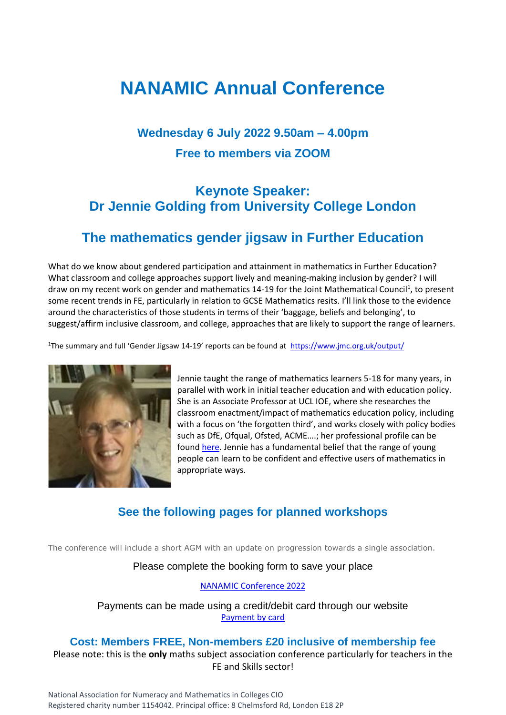## **NANAMIC Annual Conference**

## **Wednesday 6 July 2022 9.50am – 4.00pm Free to members via ZOOM**

#### **Keynote Speaker: Dr Jennie Golding from University College London**

#### **The mathematics gender jigsaw in Further Education**

What do we know about gendered participation and attainment in mathematics in Further Education? What classroom and college approaches support lively and meaning-making inclusion by gender? I will draw on my recent work on gender and mathematics 14-19 for the Joint Mathematical Council<sup>1</sup>, to present some recent trends in FE, particularly in relation to GCSE Mathematics resits. I'll link those to the evidence around the characteristics of those students in terms of their 'baggage, beliefs and belonging', to suggest/affirm inclusive classroom, and college, approaches that are likely to support the range of learners.

<sup>1</sup>The summary and full 'Gender Jigsaw 14-19' reports can be found at <https://www.jmc.org.uk/output/>



Jennie taught the range of mathematics learners 5-18 for many years, in parallel with work in initial teacher education and with education policy. She is an Associate Professor at UCL IOE, where she researches the classroom enactment/impact of mathematics education policy, including with a focus on 'the forgotten third', and works closely with policy bodies such as DfE, Ofqual, Ofsted, ACME….; her professional profile can be foun[d here.](https://iris.ucl.ac.uk/iris/browse/profile?upi=JGOLD18) Jennie has a fundamental belief that the range of young people can learn to be confident and effective users of mathematics in appropriate ways.

#### **See the following pages for planned workshops**

The conference will include a short AGM with an update on progression towards a single association.

#### Please complete the booking form to save your place

#### [NANAMIC Conference 2022](https://forms.gle/PSVAHYKPHQXV8YMP8)

Payments can be made using a credit/debit card through our website [Payment by card](https://www.nanamic.org.uk/conferences/2022/payment/)

#### **Cost: Members FREE, Non-members £20 inclusive of membership fee**

Please note: this is the **only** maths subject association conference particularly for teachers in the FE and Skills sector!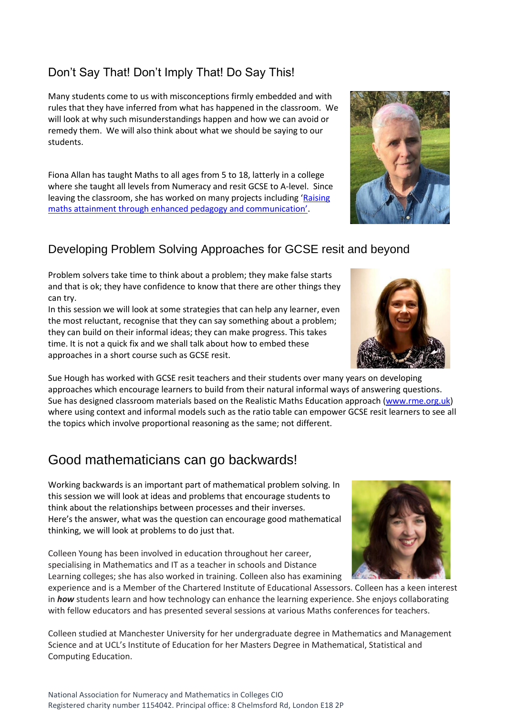# Computing Education.

#### Don't Say That! Don't Imply That! Do Say This!

Many students come to us with misconceptions firmly embedded and with rules that they have inferred from what has happened in the classroom. We will look at why such misunderstandings happen and how we can avoid or remedy them. We will also think about what we should be saying to our students.

Fiona Allan has taught Maths to all ages from 5 to 18, latterly in a college where she taught all levels from Numeracy and resit GCSE to A-level. Since leaving the classroom, she has worked on many projects including '[Raising](https://www.researchgate.net/publication/272743688_Raising_maths_attainment_through_enhanced_pedagogy_and_communication_Results_from_a_%27teacher-level%27_randomised_controlled_trial_An_NLP_related_study)  [maths attainment through enhanced pedagogy and communication'](https://www.researchgate.net/publication/272743688_Raising_maths_attainment_through_enhanced_pedagogy_and_communication_Results_from_a_%27teacher-level%27_randomised_controlled_trial_An_NLP_related_study).

#### Developing Problem Solving Approaches for GCSE resit and beyond

Problem solvers take time to think about a problem; they make false starts and that is ok; they have confidence to know that there are other things they can try.

In this session we will look at some strategies that can help any learner, even the most reluctant, recognise that they can say something about a problem; they can build on their informal ideas; they can make progress. This takes time. It is not a quick fix and we shall talk about how to embed these approaches in a short course such as GCSE resit.

Sue Hough has worked with GCSE resit teachers and their students over many years on developing approaches which encourage learners to build from their natural informal ways of answering questions. Sue has designed classroom materials based on the Realistic Maths Education approach [\(www.rme.org.uk\)](http://www.rme.org.uk/) where using context and informal models such as the ratio table can empower GCSE resit learners to see all the topics which involve proportional reasoning as the same; not different.

#### Good mathematicians can go backwards!

Working backwards is an important part of mathematical problem solving. In this session we will look at ideas and problems that encourage students to think about the relationships between processes and their inverses. Here's the answer, what was the question can encourage good mathematical thinking, we will look at problems to do just that.

Colleen Young has been involved in education throughout her career, specialising in Mathematics and IT as a teacher in schools and Distance Learning colleges; she has also worked in training. Colleen also has examining

experience and is a Member of the Chartered Institute of Educational Assessors. Colleen has a keen interest in *how* students learn and how technology can enhance the learning experience. She enjoys collaborating with fellow educators and has presented several sessions at various Maths conferences for teachers.

Colleen studied at Manchester University for her undergraduate degree in Mathematics and Management Science and at UCL's Institute of Education for her Masters Degree in Mathematical, Statistical and



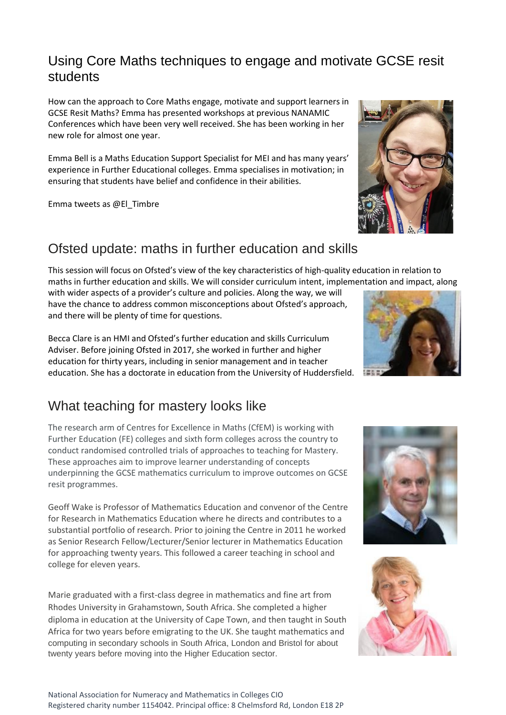#### Using Core Maths techniques to engage and motivate GCSE resit students

How can the approach to Core Maths engage, motivate and support learners in GCSE Resit Maths? Emma has presented workshops at previous NANAMIC Conferences which have been very well received. She has been working in her new role for almost one year.

Emma Bell is a Maths Education Support Specialist for MEI and has many years' experience in Further Educational colleges. Emma specialises in motivation; in ensuring that students have belief and confidence in their abilities.

Emma tweets as @El\_Timbre

#### Ofsted update: maths in further education and skills

This session will focus on Ofsted's view of the key characteristics of high-quality education in relation to maths in further education and skills. We will consider curriculum intent, implementation and impact, along with wider aspects of a provider's culture and policies. Along the way, we will

have the chance to address common misconceptions about Ofsted's approach, and there will be plenty of time for questions.

Becca Clare is an HMI and Ofsted's further education and skills Curriculum Adviser. Before joining Ofsted in 2017, she worked in further and higher education for thirty years, including in senior management and in teacher education. She has a doctorate in education from the University of Huddersfield.

#### What teaching for mastery looks like

The research arm of Centres for Excellence in Maths (CfEM) is working with Further Education (FE) colleges and sixth form colleges across the country to conduct randomised controlled trials of approaches to teaching for Mastery. These approaches aim to improve learner understanding of concepts underpinning the GCSE mathematics curriculum to improve outcomes on GCSE resit programmes.

Geoff Wake is Professor of Mathematics Education and convenor of the Centre for Research in Mathematics Education where he directs and contributes to a substantial portfolio of research. Prior to joining the Centre in 2011 he worked as Senior Research Fellow/Lecturer/Senior lecturer in Mathematics Education for approaching twenty years. This followed a career teaching in school and college for eleven years.

Marie graduated with a first-class degree in mathematics and fine art from Rhodes University in Grahamstown, South Africa. She completed a higher diploma in education at the University of Cape Town, and then taught in South Africa for two years before emigrating to the UK. She taught mathematics and computing in secondary schools in South Africa, London and Bristol for about twenty years before moving into the Higher Education sector.







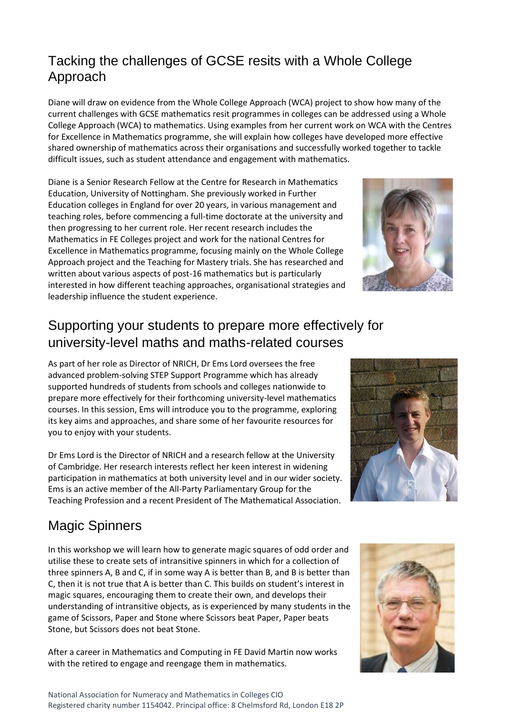#### Tacking the challenges of GCSE resits with a Whole College Approach

Diane will draw on evidence from the Whole College Approach (WCA) project to show how many of the current challenges with GCSE mathematics resit programmes in colleges can be addressed using a Whole College Approach (WCA) to mathematics. Using examples from her current work on WCA with the Centres for Excellence in Mathematics programme, she will explain how colleges have developed more effective shared ownership of mathematics across their organisations and successfully worked together to tackle difficult issues, such as student attendance and engagement with mathematics.

Diane is a Senior Research Fellow at the Centre for Research in Mathematics Education, University of Nottingham. She previously worked in Further Education colleges in England for over 20 years, in various management and teaching roles, before commencing a full-time doctorate at the university and then progressing to her current role. Her recent research includes the Mathematics in FE Colleges project and work for the national Centres for Excellence in Mathematics programme, focusing mainly on the Whole College Approach project and the Teaching for Mastery trials. She has researched and written about various aspects of post-16 mathematics but is particularly interested in how different teaching approaches, organisational strategies and leadership influence the student experience.

#### Supporting your students to prepare more effectively for university-level maths and maths-related courses

As part of her role as Director of NRICH, Dr Ems Lord oversees the free advanced problem-solving STEP Support Programme which has already supported hundreds of students from schools and colleges nationwide to prepare more effectively for their forthcoming university-level mathematics courses. In this session, Ems will introduce you to the programme, exploring its key aims and approaches, and share some of her favourite resources for you to enjoy with your students.

Dr Ems Lord is the Director of NRICH and a research fellow at the University of Cambridge. Her research interests reflect her keen interest in widening participation in mathematics at both university level and in our wider society. Ems is an active member of the All-Party Parliamentary Group for the Teaching Profession and a recent President of The Mathematical Association.

## Magic Spinners

In this workshop we will learn how to generate magic squares of odd order and utilise these to create sets of intransitive spinners in which for a collection of three spinners A, B and C, if in some way A is better than B, and B is better than C, then it is not true that A is better than C. This builds on student's interest in magic squares, encouraging them to create their own, and develops their understanding of intransitive objects, as is experienced by many students in the game of Scissors, Paper and Stone where Scissors beat Paper, Paper beats Stone, but Scissors does not beat Stone.

After a career in Mathematics and Computing in FE David Martin now works with the retired to engage and reengage them in mathematics.